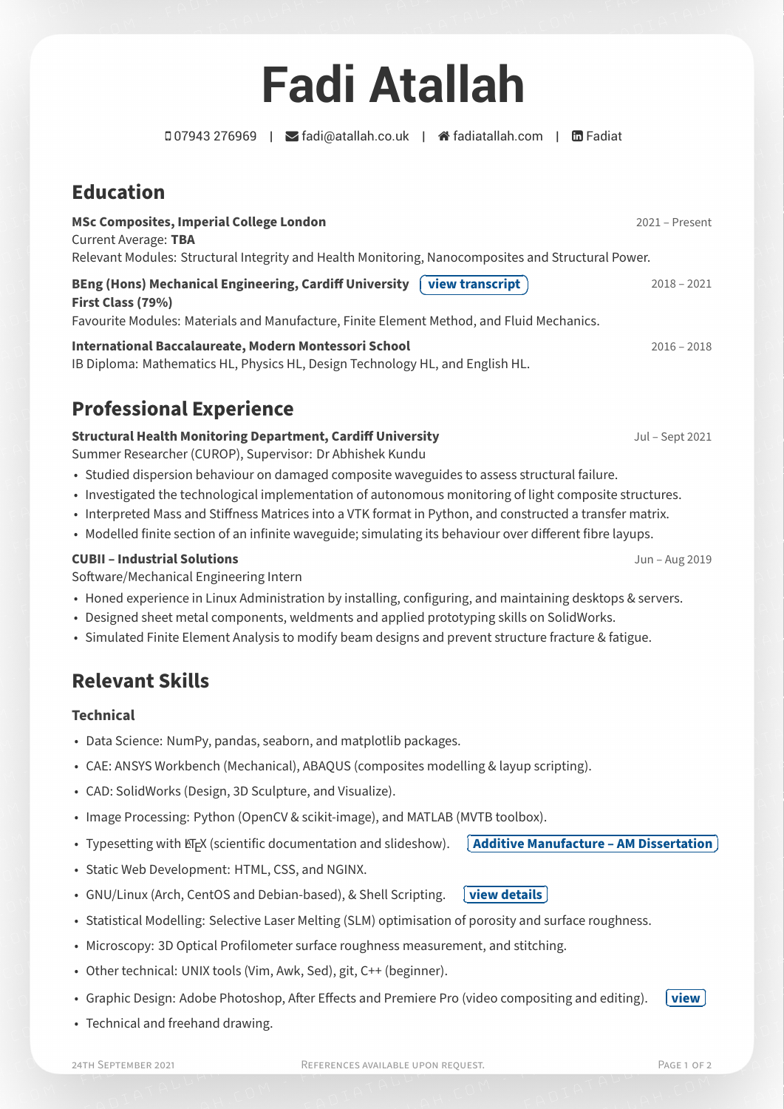# **[Fadi Atallah](https://www.fadiatallah.com)**

07943 276969 | [fadi@atallah.co.uk](mailto:fadi@atallah.co.uk) | [fadiatallah.com](http://fadiatallah.com) | [Fadiat](https://www.linkedin.com/in/Fadiat)

**Education**

**MSc Composites, Imperial College London** 2021 – Present Current Average: **TBA** Relevant Modules: Structural Integrity and Health Monitoring, Nanocomposites and Structural Power.

**BEng (Hons) Mechanical Engineering, Cardiff University ✞ <u>U[view transcript](https://www.fadiatallah.com/transcript.pdf)**</u> 2018 – 2021 **☎ ✆ First Class (79%)** Favourite Modules: Materials and Manufacture, Finite Element Method, and Fluid Mechanics.

**International Baccalaureate, Modern Montessori School** 2016 – 2018 IB Diploma: Mathematics HL, Physics HL, Design Technology HL, and English HL.

# **Professional Experience**

#### **Structural Health Monitoring Department, Cardiff University Manufacture 10 Control 2021** Jul – Sept 2021

Summer Researcher (CUROP), Supervisor: [Dr Abhishek Kundu](https://www.cardiff.ac.uk/people/view/364404-kundu-abhishek)

- Studied dispersion behaviour on damaged composite waveguides to assess structural failure.
- Investigated the technological implementation of autonomous monitoring of light composite structures.
- Interpreted Mass and Stiffness Matrices into a VTK format in Python, and constructed a transfer matrix.
- Modelled finite section of an infinite waveguide; simulating its behaviour over different fibre layups.

#### **CUBII – Industrial Solutions** Jun – Aug 2019

Software/Mechanical Engineering Intern

- Honed experience in Linux Administration by installing, configuring, and maintaining desktops & servers.
- Designed sheet metal components, weldments and applied prototyping skills on SolidWorks.
- Simulated Finite Element Analysis to modify beam designs and prevent structure fracture & fatigue.

## **Relevant Skills**

#### **Technical**

- Data Science: NumPy, pandas, seaborn, and matplotlib packages.
- CAE: ANSYS Workbench (Mechanical), ABAQUS (composites modelling & layup scripting).
- CAD: SolidWorks (Design, 3D Sculpture, and Visualize).
- Image Processing: Python (OpenCV & scikit-image), and MATLAB (MVTB toolbox).
- $\bullet$  Typesetting with  $\mathbb{E}$ EX (scientific documentation and slideshow).  $\quad \left[\right.$ **✂ [Additive Manufacture – AM Dissertation](https://www.fadiatallah.com/Dissertation_Final_Report.pdf) ✁**

Ĭ.

- Static Web Development: HTML, CSS, and NGINX.
- GNU/Linux (Arch, CentOS and Debian-based), & Shell Scripting.  $\left[\right]$ **✂ ✁ [view details](https://www.fadiatallah.com/Linux.html)**
- Statistical Modelling: Selective Laser Melting (SLM) optimisation of porosity and surface roughness.
- Microscopy: 3D Optical Profilometer surface roughness measurement, and stitching.
- Other technical: UNIX tools (Vim, Awk, Sed), git, C++ (beginner).
- Graphic Design: Adobe Photoshop, After Effects and Premiere Pro (video compositing and editing).
- Technical and freehand drawing.

Ĭ. **✁**

**✄ ✂ [view](https://www.fadiatallah.com/readmore.html)**